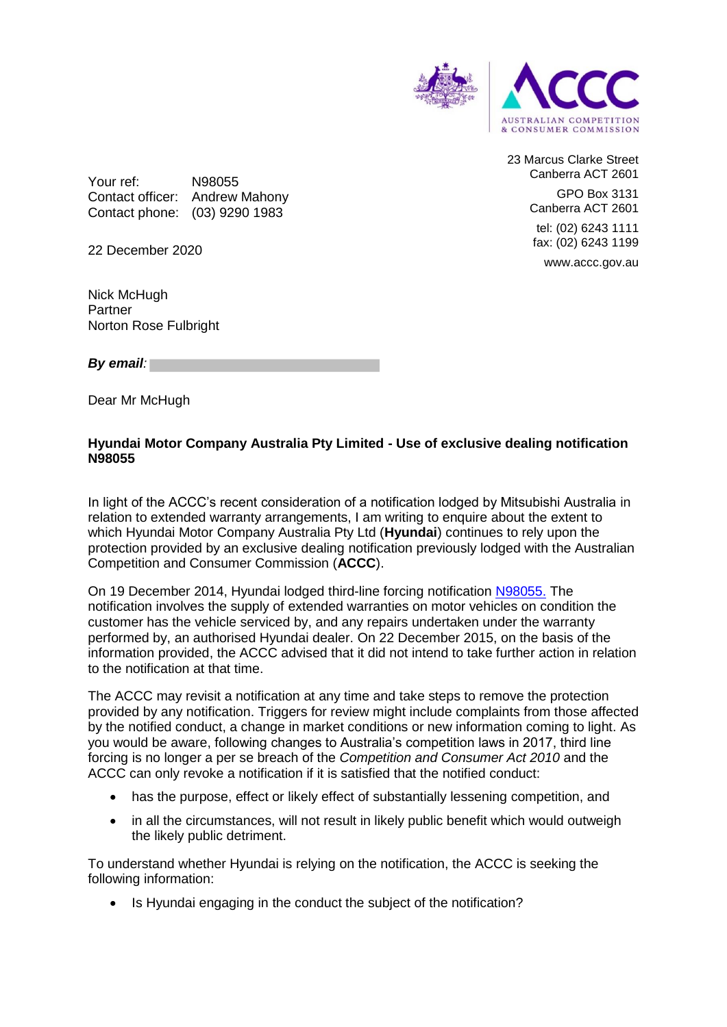

23 Marcus Clarke Street Canberra ACT 2601 GPO Box 3131 Canberra ACT 2601 tel: (02) 6243 1111 fax: (02) 6243 1199 www.accc.gov.au

Your ref: N98055 Contact officer: Andrew Mahony Contact phone: (03) 9290 1983

22 December 2020

Nick McHugh Partner Norton Rose Fulbright

*By email:* 

Dear Mr McHugh

## **Hyundai Motor Company Australia Pty Limited - Use of exclusive dealing notification N98055**

In light of the ACCC's recent consideration of a notification lodged by Mitsubishi Australia in relation to extended warranty arrangements, I am writing to enquire about the extent to which Hyundai Motor Company Australia Pty Ltd (**Hyundai**) continues to rely upon the protection provided by an exclusive dealing notification previously lodged with the Australian Competition and Consumer Commission (**ACCC**).

On 19 December 2014, Hyundai lodged third-line forcing notification [N98055.](https://www.accc.gov.au/public-registers/authorisations-and-notifications-registers/exclusive-dealing-notifications-register/hyundai-motor-company-australia-pty-ltd-notification-n98055) The notification involves the supply of extended warranties on motor vehicles on condition the customer has the vehicle serviced by, and any repairs undertaken under the warranty performed by, an authorised Hyundai dealer. On 22 December 2015, on the basis of the information provided, the ACCC advised that it did not intend to take further action in relation to the notification at that time.

The ACCC may revisit a notification at any time and take steps to remove the protection provided by any notification. Triggers for review might include complaints from those affected by the notified conduct, a change in market conditions or new information coming to light. As you would be aware, following changes to Australia's competition laws in 2017, third line forcing is no longer a per se breach of the *Competition and Consumer Act 2010* and the ACCC can only revoke a notification if it is satisfied that the notified conduct:

- has the purpose, effect or likely effect of substantially lessening competition, and
- in all the circumstances, will not result in likely public benefit which would outweigh the likely public detriment.

To understand whether Hyundai is relying on the notification, the ACCC is seeking the following information:

• Is Hyundai engaging in the conduct the subiect of the notification?